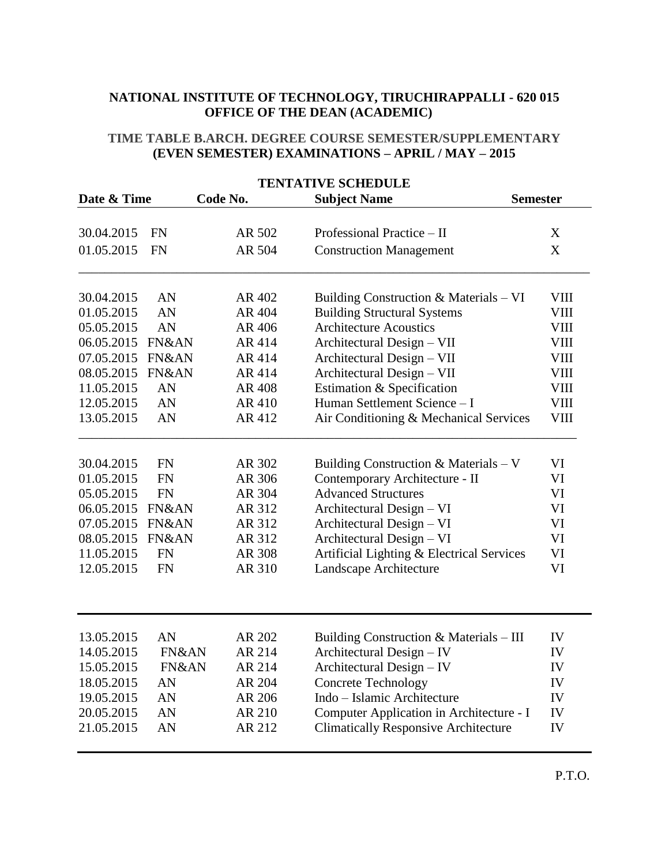## **NATIONAL INSTITUTE OF TECHNOLOGY, TIRUCHIRAPPALLI - 620 015 OFFICE OF THE DEAN (ACADEMIC)**

## **TIME TABLE B.ARCH. DEGREE COURSE SEMESTER/SUPPLEMENTARY (EVEN SEMESTER) EXAMINATIONS – APRIL / MAY – 2015**

| <b>TENTATIVE SCHEDULE</b> |           |          |                                             |             |  |  |  |
|---------------------------|-----------|----------|---------------------------------------------|-------------|--|--|--|
| Date & Time               |           | Code No. | <b>Subject Name</b><br><b>Semester</b>      |             |  |  |  |
| 30.04.2015                | <b>FN</b> | AR 502   | Professional Practice - II                  | X           |  |  |  |
| 01.05.2015                | <b>FN</b> | AR 504   | <b>Construction Management</b>              | X           |  |  |  |
|                           |           |          |                                             |             |  |  |  |
| 30.04.2015                | AN        | AR 402   | Building Construction & Materials - VI      | <b>VIII</b> |  |  |  |
| 01.05.2015                | AN        | AR 404   | <b>Building Structural Systems</b>          | VIII        |  |  |  |
| 05.05.2015                | AN        | AR 406   | <b>Architecture Acoustics</b>               | <b>VIII</b> |  |  |  |
| 06.05.2015                | FN&AN     | AR 414   | Architectural Design - VII                  | VIII        |  |  |  |
| 07.05.2015                | FN&AN     | AR 414   | Architectural Design - VII                  | VIII        |  |  |  |
| 08.05.2015                | FN&AN     | AR 414   | Architectural Design - VII                  | VIII        |  |  |  |
| 11.05.2015                | AN        | AR 408   | Estimation & Specification                  | <b>VIII</b> |  |  |  |
| 12.05.2015                | AN        | AR 410   | Human Settlement Science - I                | <b>VIII</b> |  |  |  |
| 13.05.2015                | AN        | AR 412   | Air Conditioning & Mechanical Services      | VIII        |  |  |  |
| 30.04.2015                | FN        | AR 302   | Building Construction & Materials $-V$      | VI          |  |  |  |
| 01.05.2015                | <b>FN</b> | AR 306   | Contemporary Architecture - II              | VI          |  |  |  |
| 05.05.2015                | <b>FN</b> | AR 304   | <b>Advanced Structures</b>                  | VI          |  |  |  |
| 06.05.2015                | FN&AN     | AR 312   | Architectural Design - VI                   | VI          |  |  |  |
| 07.05.2015                | FN&AN     | AR 312   | Architectural Design - VI                   | VI          |  |  |  |
| 08.05.2015                | FN&AN     | AR 312   | Architectural Design - VI                   | VI          |  |  |  |
| 11.05.2015                | <b>FN</b> | AR 308   | Artificial Lighting & Electrical Services   | VI          |  |  |  |
| 12.05.2015                | <b>FN</b> | AR 310   | Landscape Architecture                      | VI          |  |  |  |
|                           |           |          |                                             |             |  |  |  |
| 13.05.2015                | AN        | AR 202   | Building Construction & Materials - III     | IV          |  |  |  |
| 14.05.2015                | FN&AN     | AR 214   | Architectural Design - IV                   | IV          |  |  |  |
| 15.05.2015                | FN&AN     | AR 214   | Architectural Design - IV                   | IV          |  |  |  |
| 18.05.2015                | AN        | AR 204   | Concrete Technology                         | IV          |  |  |  |
| 19.05.2015                | AN        | AR 206   | Indo - Islamic Architecture                 | IV          |  |  |  |
| 20.05.2015                | AN        | AR 210   | Computer Application in Architecture - I    | IV          |  |  |  |
| 21.05.2015                | AN        | AR 212   | <b>Climatically Responsive Architecture</b> | IV          |  |  |  |